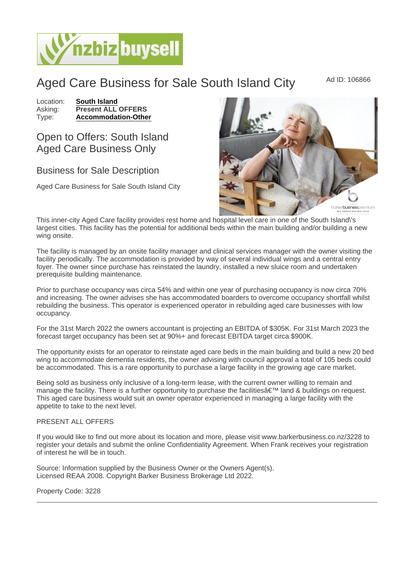Aged Care Business for Sale South Island City Ad ID: 106866

Location: [South Island](https://www.nzbizbuysell.co.nz/businesses-for-sale/location/South-Island) Asking: Present ALL OFFERS<br>Type: Accommodation-Other [Accommodation-Other](https://www.nzbizbuysell.co.nz/businesses-for-sale/Accommodation-Other/New-Zealand)

## Open to Offers: South Island Aged Care Business Only

## Business for Sale Description

Aged Care Business for Sale South Island City

This inner-city Aged Care facility provides rest home and hospital level care in one of the South Island\'s largest cities. This facility has the potential for additional beds within the main building and/or building a new wing onsite.

The facility is managed by an onsite facility manager and clinical services manager with the owner visiting the facility periodically. The accommodation is provided by way of several individual wings and a central entry foyer. The owner since purchase has reinstated the laundry, installed a new sluice room and undertaken prerequisite building maintenance.

Prior to purchase occupancy was circa 54% and within one year of purchasing occupancy is now circa 70% and increasing. The owner advises she has accommodated boarders to overcome occupancy shortfall whilst rebuilding the business. This operator is experienced operator in rebuilding aged care businesses with low occupancy.

For the 31st March 2022 the owners accountant is projecting an EBITDA of \$305K. For 31st March 2023 the forecast target occupancy has been set at 90%+ and forecast EBITDA target circa \$900K.

The opportunity exists for an operator to reinstate aged care beds in the main building and build a new 20 bed wing to accommodate dementia residents, the owner advising with council approval a total of 105 beds could be accommodated. This is a rare opportunity to purchase a large facility in the growing age care market.

Being sold as business only inclusive of a long-term lease, with the current owner willing to remain and manage the facility. There is a further opportunity to purchase the facilities a€<sup>™</sup> land & buildings on request. This aged care business would suit an owner operator experienced in managing a large facility with the appetite to take to the next level.

## PRESENT ALL OFFERS

If you would like to find out more about its location and more, please visit www.barkerbusiness.co.nz/3228 to register your details and submit the online Confidentiality Agreement. When Frank receives your registration of interest he will be in touch.

Source: Information supplied by the Business Owner or the Owners Agent(s). Licensed REAA 2008. Copyright Barker Business Brokerage Ltd 2022.

Property Code: 3228